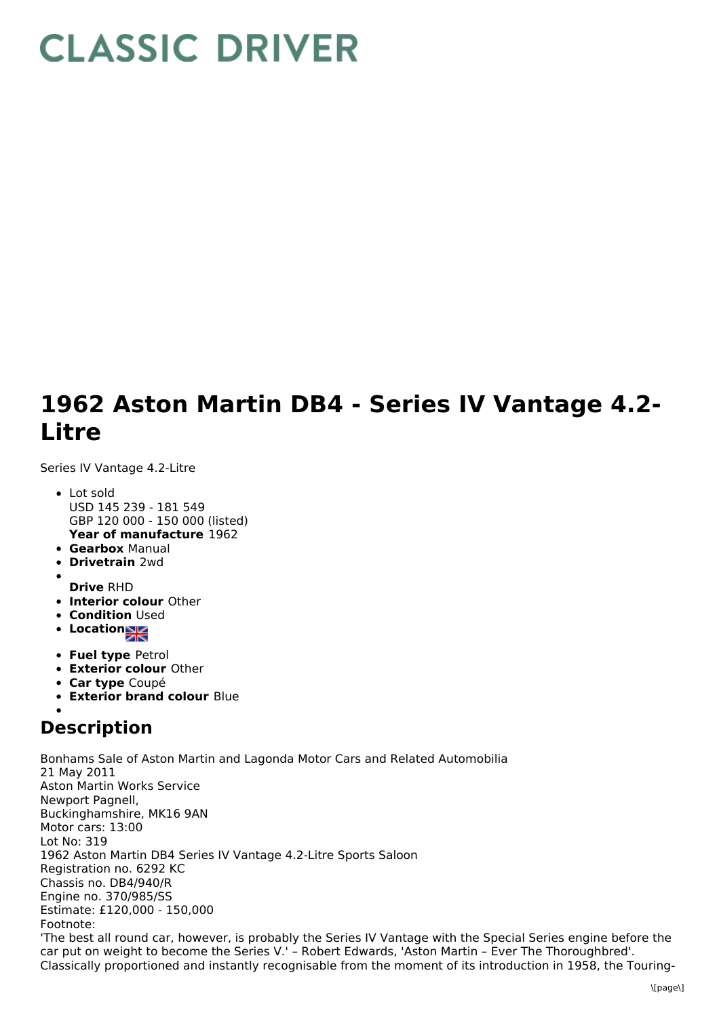## **CLASSIC DRIVER**

## **1962 Aston Martin DB4 - Series IV Vantage 4.2- Litre**

Series IV Vantage 4.2-Litre

- **Year of manufacture** 1962 Lot sold USD 145 239 - 181 549 GBP 120 000 - 150 000 (listed)
- **Gearbox** Manual
- **Drivetrain** 2wd
- **Drive** RHD
- **Interior colour** Other
- **Condition Used**
- **Location**
- **Fuel type** Petrol
- **Exterior colour** Other
- **Car type** Coupé
- **Exterior brand colour** Blue

## **Description**

Bonhams Sale of Aston Martin and Lagonda Motor Cars and Related Automobilia 21 May 2011 Aston Martin Works Service Newport Pagnell, Buckinghamshire, MK16 9AN Motor cars: 13:00 Lot No: 319 1962 Aston Martin DB4 Series IV Vantage 4.2-Litre Sports Saloon Registration no. 6292 KC Chassis no. DB4/940/R Engine no. 370/985/SS Estimate: £120,000 - 150,000 Footnote: 'The best all round car, however, is probably the Series IV Vantage with the Special Series engine before the car put on weight to become the Series V.' – Robert Edwards, 'Aston Martin – Ever The Thoroughbred'. Classically proportioned and instantly recognisable from the moment of its introduction in 1958, the Touring